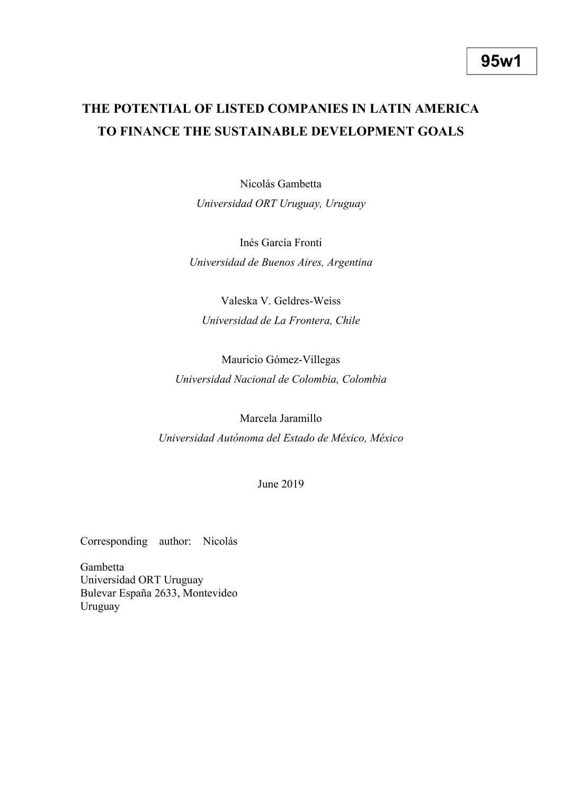# **THE POTENTIAL OF LISTED COMPANIES IN LATIN AMERICA TO FINANCE THE SUSTAINABLE DEVELOPMENT GOALS**

Nicolás Gambetta *Universidad ORT Uruguay, Uruguay*

Inés García Fronti *Universidad de Buenos Aires, Argentina*

Valeska V. Geldres-Weiss *Universidad de La Frontera, Chile*

Mauricio Gómez-Villegas *Universidad Nacional de Colombia, Colombia*

Marcela Jaramillo *Universidad Autónoma del Estado de México, México*

June 2019

Corresponding author: Nicolás

Gambetta Universidad ORT Uruguay Bulevar España 2633, Montevideo Uruguay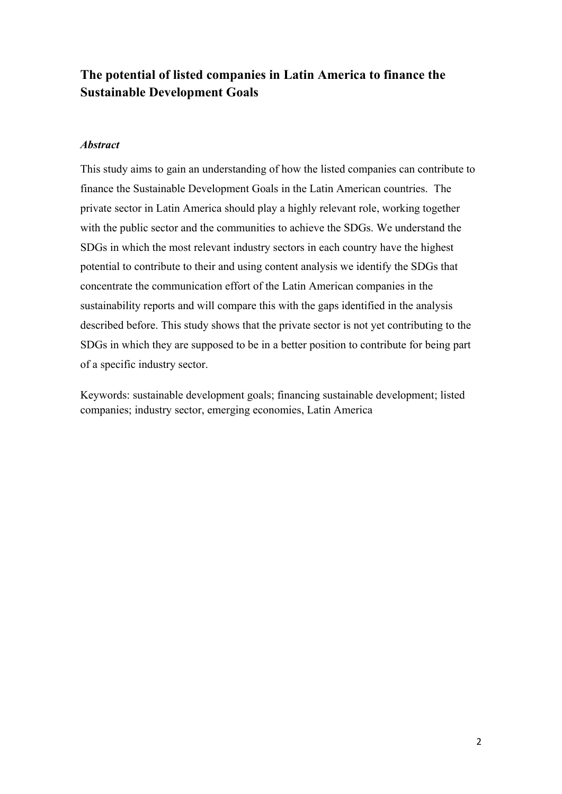## **The potential of listed companies in Latin America to finance the Sustainable Development Goals**

## *Abstract*

This study aims to gain an understanding of how the listed companies can contribute to finance the Sustainable Development Goals in the Latin American countries. The private sector in Latin America should play a highly relevant role, working together with the public sector and the communities to achieve the SDGs. We understand the SDGs in which the most relevant industry sectors in each country have the highest potential to contribute to their and using content analysis we identify the SDGs that concentrate the communication effort of the Latin American companies in the sustainability reports and will compare this with the gaps identified in the analysis described before. This study shows that the private sector is not yet contributing to the SDGs in which they are supposed to be in a better position to contribute for being part of a specific industry sector.

Keywords: sustainable development goals; financing sustainable development; listed companies; industry sector, emerging economies, Latin America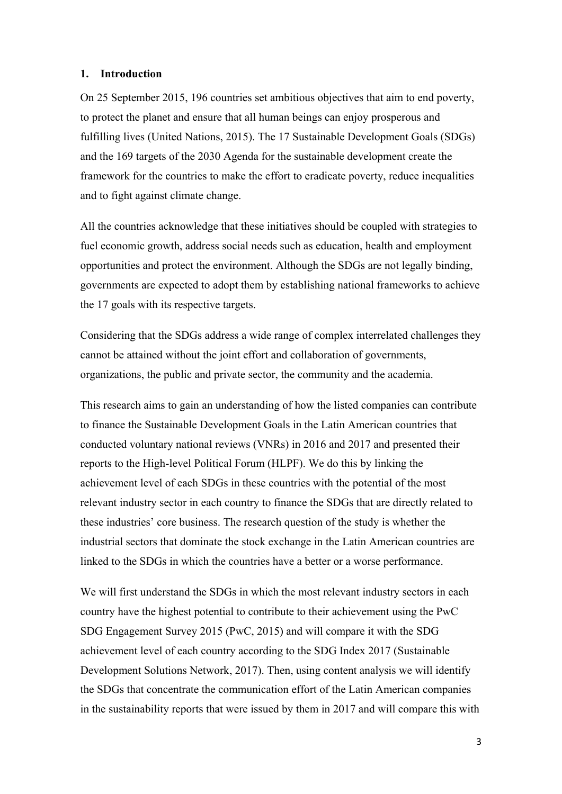#### **1. Introduction**

On 25 September 2015, 196 countries set ambitious objectives that aim to end poverty, to protect the planet and ensure that all human beings can enjoy prosperous and fulfilling lives (United Nations, 2015). The 17 Sustainable Development Goals (SDGs) and the 169 targets of the 2030 Agenda for the sustainable development create the framework for the countries to make the effort to eradicate poverty, reduce inequalities and to fight against climate change.

All the countries acknowledge that these initiatives should be coupled with strategies to fuel economic growth, address social needs such as education, health and employment opportunities and protect the environment. Although the SDGs are not legally binding, governments are expected to adopt them by establishing national frameworks to achieve the 17 goals with its respective targets.

Considering that the SDGs address a wide range of complex interrelated challenges they cannot be attained without the joint effort and collaboration of governments, organizations, the public and private sector, the community and the academia.

This research aims to gain an understanding of how the listed companies can contribute to finance the Sustainable Development Goals in the Latin American countries that conducted voluntary national reviews (VNRs) in 2016 and 2017 and presented their reports to the High-level Political Forum (HLPF). We do this by linking the achievement level of each SDGs in these countries with the potential of the most relevant industry sector in each country to finance the SDGs that are directly related to these industries' core business. The research question of the study is whether the industrial sectors that dominate the stock exchange in the Latin American countries are linked to the SDGs in which the countries have a better or a worse performance.

We will first understand the SDGs in which the most relevant industry sectors in each country have the highest potential to contribute to their achievement using the PwC SDG Engagement Survey 2015 (PwC, 2015) and will compare it with the SDG achievement level of each country according to the SDG Index 2017 (Sustainable Development Solutions Network, 2017). Then, using content analysis we will identify the SDGs that concentrate the communication effort of the Latin American companies in the sustainability reports that were issued by them in 2017 and will compare this with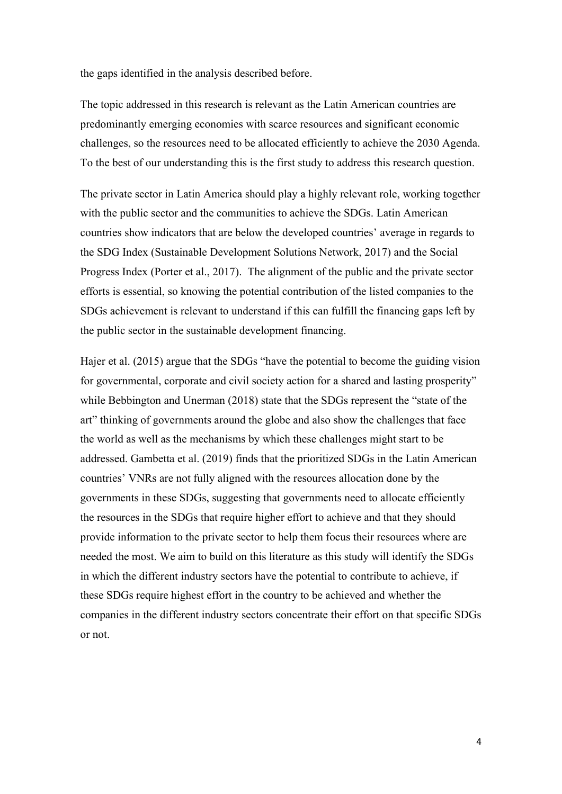the gaps identified in the analysis described before.

The topic addressed in this research is relevant as the Latin American countries are predominantly emerging economies with scarce resources and significant economic challenges, so the resources need to be allocated efficiently to achieve the 2030 Agenda. To the best of our understanding this is the first study to address this research question.

The private sector in Latin America should play a highly relevant role, working together with the public sector and the communities to achieve the SDGs. Latin American countries show indicators that are below the developed countries' average in regards to the SDG Index (Sustainable Development Solutions Network, 2017) and the Social Progress Index (Porter et al., 2017). The alignment of the public and the private sector efforts is essential, so knowing the potential contribution of the listed companies to the SDGs achievement is relevant to understand if this can fulfill the financing gaps left by the public sector in the sustainable development financing.

Hajer et al. (2015) argue that the SDGs "have the potential to become the guiding vision for governmental, corporate and civil society action for a shared and lasting prosperity" while Bebbington and Unerman (2018) state that the SDGs represent the "state of the art" thinking of governments around the globe and also show the challenges that face the world as well as the mechanisms by which these challenges might start to be addressed. Gambetta et al. (2019) finds that the prioritized SDGs in the Latin American countries' VNRs are not fully aligned with the resources allocation done by the governments in these SDGs, suggesting that governments need to allocate efficiently the resources in the SDGs that require higher effort to achieve and that they should provide information to the private sector to help them focus their resources where are needed the most. We aim to build on this literature as this study will identify the SDGs in which the different industry sectors have the potential to contribute to achieve, if these SDGs require highest effort in the country to be achieved and whether the companies in the different industry sectors concentrate their effort on that specific SDGs or not.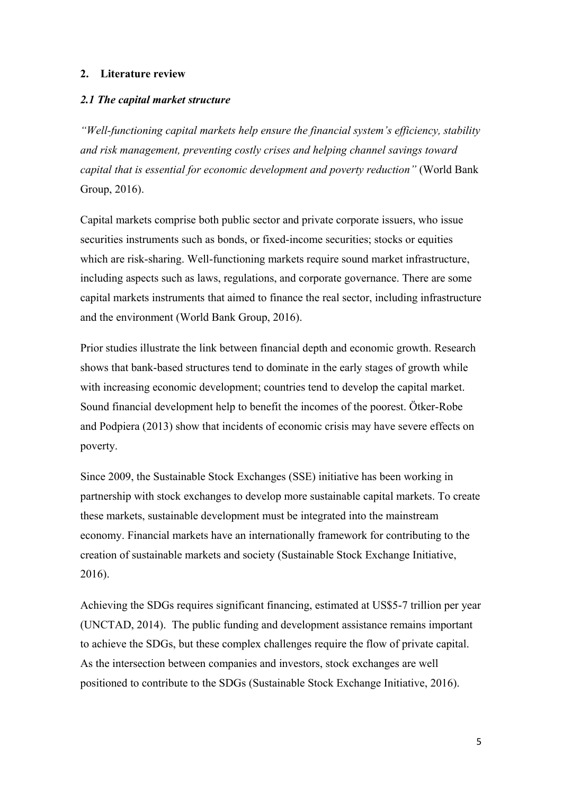#### **2. Literature review**

#### *2.1 The capital market structure*

*"Well-functioning capital markets help ensure the financial system's efficiency, stability and risk management, preventing costly crises and helping channel savings toward capital that is essential for economic development and poverty reduction"* (World Bank Group, 2016).

Capital markets comprise both public sector and private corporate issuers, who issue securities instruments such as bonds, or fixed-income securities; stocks or equities which are risk-sharing. Well-functioning markets require sound market infrastructure, including aspects such as laws, regulations, and corporate governance. There are some capital markets instruments that aimed to finance the real sector, including infrastructure and the environment (World Bank Group, 2016).

Prior studies illustrate the link between financial depth and economic growth. Research shows that bank-based structures tend to dominate in the early stages of growth while with increasing economic development; countries tend to develop the capital market. Sound financial development help to benefit the incomes of the poorest. Ötker-Robe and Podpiera (2013) show that incidents of economic crisis may have severe effects on poverty.

Since 2009, the Sustainable Stock Exchanges (SSE) initiative has been working in partnership with stock exchanges to develop more sustainable capital markets. To create these markets, sustainable development must be integrated into the mainstream economy. Financial markets have an internationally framework for contributing to the creation of sustainable markets and society (Sustainable Stock Exchange Initiative, 2016).

Achieving the SDGs requires significant financing, estimated at US\$5-7 trillion per year (UNCTAD, 2014). The public funding and development assistance remains important to achieve the SDGs, but these complex challenges require the flow of private capital. As the intersection between companies and investors, stock exchanges are well positioned to contribute to the SDGs (Sustainable Stock Exchange Initiative, 2016).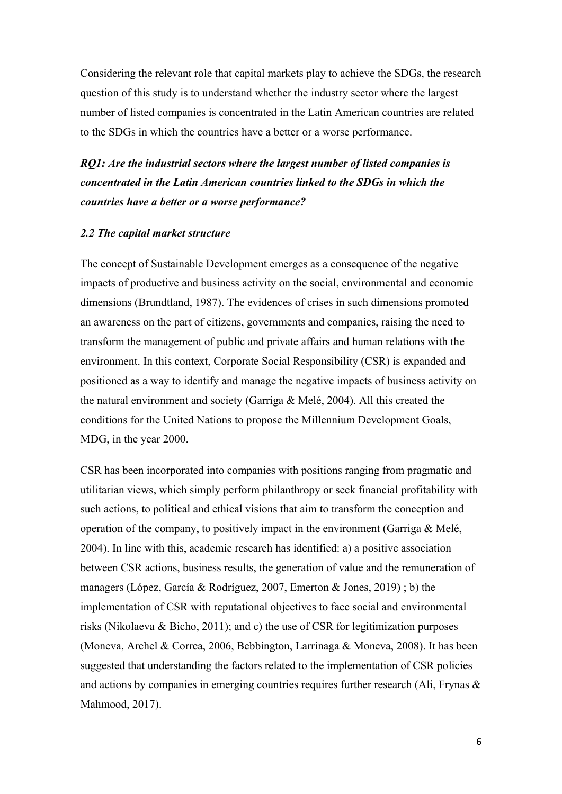Considering the relevant role that capital markets play to achieve the SDGs, the research question of this study is to understand whether the industry sector where the largest number of listed companies is concentrated in the Latin American countries are related to the SDGs in which the countries have a better or a worse performance.

*RQ1: Are the industrial sectors where the largest number of listed companies is concentrated in the Latin American countries linked to the SDGs in which the countries have a better or a worse performance?*

#### *2.2 The capital market structure*

The concept of Sustainable Development emerges as a consequence of the negative impacts of productive and business activity on the social, environmental and economic dimensions (Brundtland, 1987). The evidences of crises in such dimensions promoted an awareness on the part of citizens, governments and companies, raising the need to transform the management of public and private affairs and human relations with the environment. In this context, Corporate Social Responsibility (CSR) is expanded and positioned as a way to identify and manage the negative impacts of business activity on the natural environment and society (Garriga & Melé, 2004). All this created the conditions for the United Nations to propose the Millennium Development Goals, MDG, in the year 2000.

CSR has been incorporated into companies with positions ranging from pragmatic and utilitarian views, which simply perform philanthropy or seek financial profitability with such actions, to political and ethical visions that aim to transform the conception and operation of the company, to positively impact in the environment (Garriga & Melé, 2004). In line with this, academic research has identified: a) a positive association between CSR actions, business results, the generation of value and the remuneration of managers (López, García & Rodríguez, 2007, Emerton & Jones, 2019) ; b) the implementation of CSR with reputational objectives to face social and environmental risks (Nikolaeva & Bicho, 2011); and c) the use of CSR for legitimization purposes (Moneva, Archel & Correa, 2006, Bebbington, Larrinaga & Moneva, 2008). It has been suggested that understanding the factors related to the implementation of CSR policies and actions by companies in emerging countries requires further research (Ali, Frynas & Mahmood, 2017).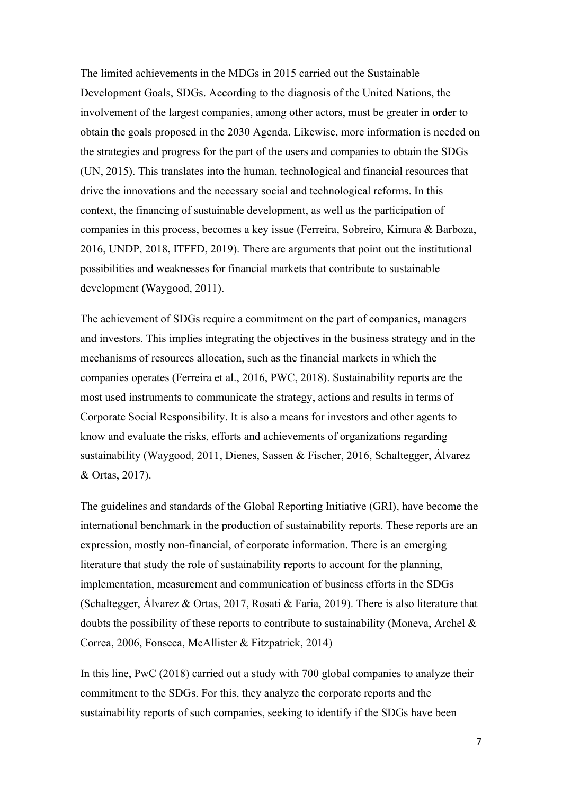The limited achievements in the MDGs in 2015 carried out the Sustainable Development Goals, SDGs. According to the diagnosis of the United Nations, the involvement of the largest companies, among other actors, must be greater in order to obtain the goals proposed in the 2030 Agenda. Likewise, more information is needed on the strategies and progress for the part of the users and companies to obtain the SDGs (UN, 2015). This translates into the human, technological and financial resources that drive the innovations and the necessary social and technological reforms. In this context, the financing of sustainable development, as well as the participation of companies in this process, becomes a key issue (Ferreira, Sobreiro, Kimura & Barboza, 2016, UNDP, 2018, ITFFD, 2019). There are arguments that point out the institutional possibilities and weaknesses for financial markets that contribute to sustainable development (Waygood, 2011).

The achievement of SDGs require a commitment on the part of companies, managers and investors. This implies integrating the objectives in the business strategy and in the mechanisms of resources allocation, such as the financial markets in which the companies operates (Ferreira et al., 2016, PWC, 2018). Sustainability reports are the most used instruments to communicate the strategy, actions and results in terms of Corporate Social Responsibility. It is also a means for investors and other agents to know and evaluate the risks, efforts and achievements of organizations regarding sustainability (Waygood, 2011, Dienes, Sassen & Fischer, 2016, Schaltegger, Álvarez & Ortas, 2017).

The guidelines and standards of the Global Reporting Initiative (GRI), have become the international benchmark in the production of sustainability reports. These reports are an expression, mostly non-financial, of corporate information. There is an emerging literature that study the role of sustainability reports to account for the planning, implementation, measurement and communication of business efforts in the SDGs (Schaltegger, Álvarez & Ortas, 2017, Rosati & Faria, 2019). There is also literature that doubts the possibility of these reports to contribute to sustainability (Moneva, Archel  $\&$ Correa, 2006, Fonseca, McAllister & Fitzpatrick, 2014)

In this line, PwC (2018) carried out a study with 700 global companies to analyze their commitment to the SDGs. For this, they analyze the corporate reports and the sustainability reports of such companies, seeking to identify if the SDGs have been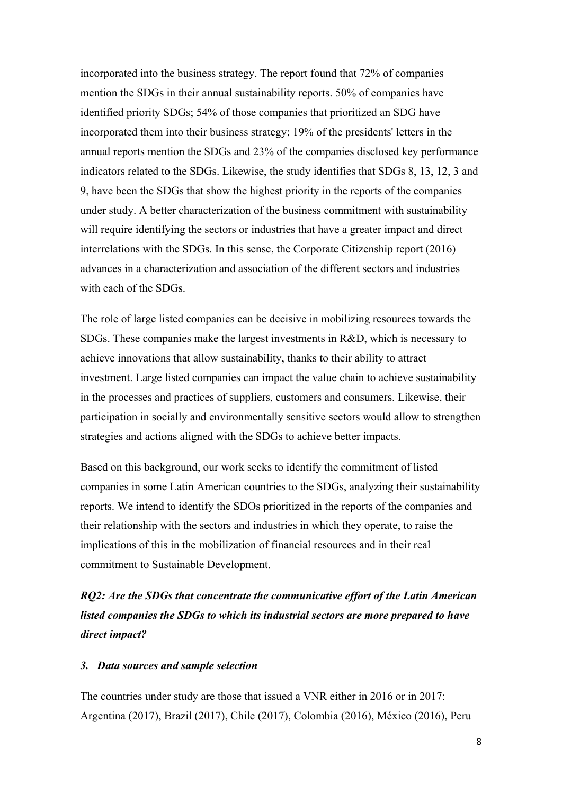incorporated into the business strategy. The report found that 72% of companies mention the SDGs in their annual sustainability reports. 50% of companies have identified priority SDGs; 54% of those companies that prioritized an SDG have incorporated them into their business strategy; 19% of the presidents' letters in the annual reports mention the SDGs and 23% of the companies disclosed key performance indicators related to the SDGs. Likewise, the study identifies that SDGs 8, 13, 12, 3 and 9, have been the SDGs that show the highest priority in the reports of the companies under study. A better characterization of the business commitment with sustainability will require identifying the sectors or industries that have a greater impact and direct interrelations with the SDGs. In this sense, the Corporate Citizenship report (2016) advances in a characterization and association of the different sectors and industries with each of the SDGs.

The role of large listed companies can be decisive in mobilizing resources towards the SDGs. These companies make the largest investments in R&D, which is necessary to achieve innovations that allow sustainability, thanks to their ability to attract investment. Large listed companies can impact the value chain to achieve sustainability in the processes and practices of suppliers, customers and consumers. Likewise, their participation in socially and environmentally sensitive sectors would allow to strengthen strategies and actions aligned with the SDGs to achieve better impacts.

Based on this background, our work seeks to identify the commitment of listed companies in some Latin American countries to the SDGs, analyzing their sustainability reports. We intend to identify the SDOs prioritized in the reports of the companies and their relationship with the sectors and industries in which they operate, to raise the implications of this in the mobilization of financial resources and in their real commitment to Sustainable Development.

*RQ2: Are the SDGs that concentrate the communicative effort of the Latin American listed companies the SDGs to which its industrial sectors are more prepared to have direct impact?* 

#### *3. Data sources and sample selection*

The countries under study are those that issued a VNR either in 2016 or in 2017: Argentina (2017), Brazil (2017), Chile (2017), Colombia (2016), México (2016), Peru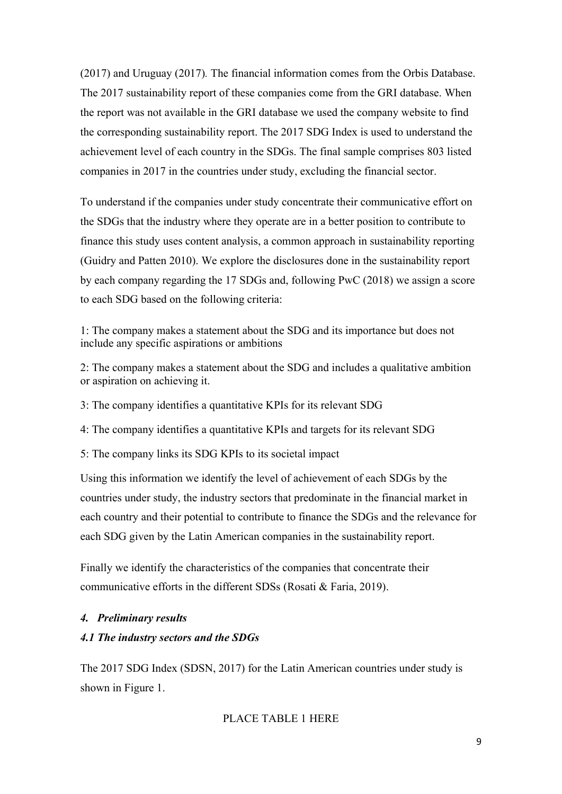(2017) and Uruguay (2017)*.* The financial information comes from the Orbis Database. The 2017 sustainability report of these companies come from the GRI database. When the report was not available in the GRI database we used the company website to find the corresponding sustainability report. The 2017 SDG Index is used to understand the achievement level of each country in the SDGs. The final sample comprises 803 listed companies in 2017 in the countries under study, excluding the financial sector.

To understand if the companies under study concentrate their communicative effort on the SDGs that the industry where they operate are in a better position to contribute to finance this study uses content analysis, a common approach in sustainability reporting (Guidry and Patten 2010). We explore the disclosures done in the sustainability report by each company regarding the 17 SDGs and, following PwC (2018) we assign a score to each SDG based on the following criteria:

1: The company makes a statement about the SDG and its importance but does not include any specific aspirations or ambitions

2: The company makes a statement about the SDG and includes a qualitative ambition or aspiration on achieving it.

3: The company identifies a quantitative KPIs for its relevant SDG

4: The company identifies a quantitative KPIs and targets for its relevant SDG

5: The company links its SDG KPIs to its societal impact

Using this information we identify the level of achievement of each SDGs by the countries under study, the industry sectors that predominate in the financial market in each country and their potential to contribute to finance the SDGs and the relevance for each SDG given by the Latin American companies in the sustainability report.

Finally we identify the characteristics of the companies that concentrate their communicative efforts in the different SDSs (Rosati & Faria, 2019).

## *4. Preliminary results*

## *4.1 The industry sectors and the SDGs*

The 2017 SDG Index (SDSN, 2017) for the Latin American countries under study is shown in Figure 1.

## PLACE TABLE 1 HERE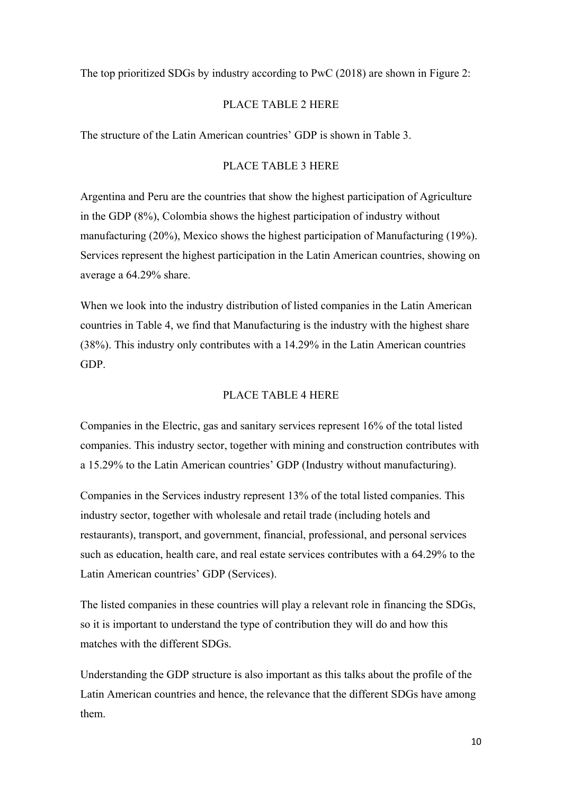The top prioritized SDGs by industry according to PwC (2018) are shown in Figure 2:

## PLACE TABLE 2 HERE

The structure of the Latin American countries' GDP is shown in Table 3.

## PLACE TABLE 3 HERE

Argentina and Peru are the countries that show the highest participation of Agriculture in the GDP (8%), Colombia shows the highest participation of industry without manufacturing (20%), Mexico shows the highest participation of Manufacturing (19%). Services represent the highest participation in the Latin American countries, showing on average a 64.29% share.

When we look into the industry distribution of listed companies in the Latin American countries in Table 4, we find that Manufacturing is the industry with the highest share (38%). This industry only contributes with a 14.29% in the Latin American countries GDP.

#### PLACE TABLE 4 HERE

Companies in the Electric, gas and sanitary services represent 16% of the total listed companies. This industry sector, together with mining and construction contributes with a 15.29% to the Latin American countries' GDP (Industry without manufacturing).

Companies in the Services industry represent 13% of the total listed companies. This industry sector, together with wholesale and retail trade (including hotels and restaurants), transport, and government, financial, professional, and personal services such as education, health care, and real estate services contributes with a 64.29% to the Latin American countries' GDP (Services).

The listed companies in these countries will play a relevant role in financing the SDGs, so it is important to understand the type of contribution they will do and how this matches with the different SDGs.

Understanding the GDP structure is also important as this talks about the profile of the Latin American countries and hence, the relevance that the different SDGs have among them.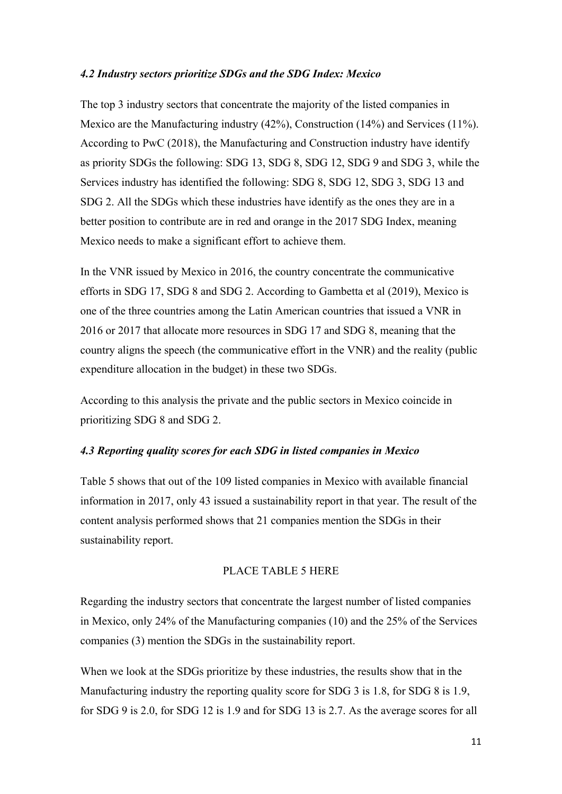#### *4.2 Industry sectors prioritize SDGs and the SDG Index: Mexico*

The top 3 industry sectors that concentrate the majority of the listed companies in Mexico are the Manufacturing industry (42%), Construction (14%) and Services (11%). According to PwC (2018), the Manufacturing and Construction industry have identify as priority SDGs the following: SDG 13, SDG 8, SDG 12, SDG 9 and SDG 3, while the Services industry has identified the following: SDG 8, SDG 12, SDG 3, SDG 13 and SDG 2. All the SDGs which these industries have identify as the ones they are in a better position to contribute are in red and orange in the 2017 SDG Index, meaning Mexico needs to make a significant effort to achieve them.

In the VNR issued by Mexico in 2016, the country concentrate the communicative efforts in SDG 17, SDG 8 and SDG 2. According to Gambetta et al (2019), Mexico is one of the three countries among the Latin American countries that issued a VNR in 2016 or 2017 that allocate more resources in SDG 17 and SDG 8, meaning that the country aligns the speech (the communicative effort in the VNR) and the reality (public expenditure allocation in the budget) in these two SDGs.

According to this analysis the private and the public sectors in Mexico coincide in prioritizing SDG 8 and SDG 2.

## *4.3 Reporting quality scores for each SDG in listed companies in Mexico*

Table 5 shows that out of the 109 listed companies in Mexico with available financial information in 2017, only 43 issued a sustainability report in that year. The result of the content analysis performed shows that 21 companies mention the SDGs in their sustainability report.

#### PLACE TABLE 5 HERE

Regarding the industry sectors that concentrate the largest number of listed companies in Mexico, only 24% of the Manufacturing companies (10) and the 25% of the Services companies (3) mention the SDGs in the sustainability report.

When we look at the SDGs prioritize by these industries, the results show that in the Manufacturing industry the reporting quality score for SDG 3 is 1.8, for SDG 8 is 1.9, for SDG 9 is 2.0, for SDG 12 is 1.9 and for SDG 13 is 2.7. As the average scores for all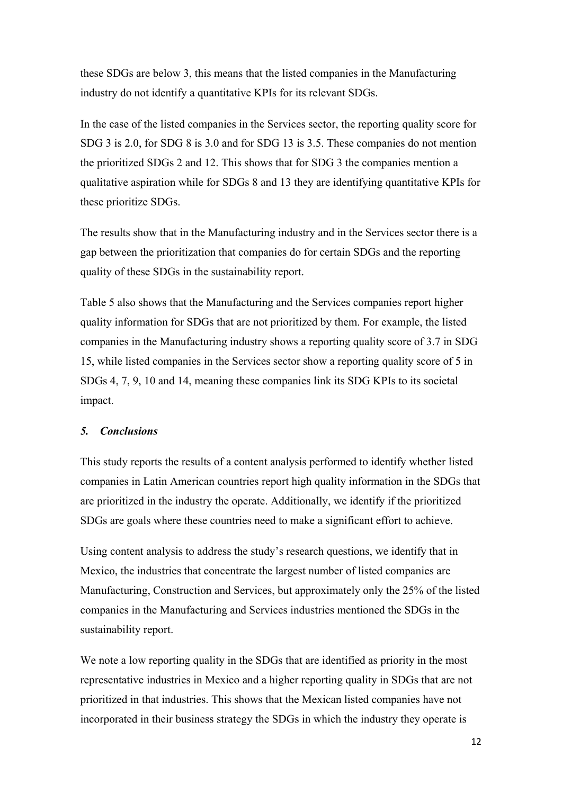these SDGs are below 3, this means that the listed companies in the Manufacturing industry do not identify a quantitative KPIs for its relevant SDGs.

In the case of the listed companies in the Services sector, the reporting quality score for SDG 3 is 2.0, for SDG 8 is 3.0 and for SDG 13 is 3.5. These companies do not mention the prioritized SDGs 2 and 12. This shows that for SDG 3 the companies mention a qualitative aspiration while for SDGs 8 and 13 they are identifying quantitative KPIs for these prioritize SDGs.

The results show that in the Manufacturing industry and in the Services sector there is a gap between the prioritization that companies do for certain SDGs and the reporting quality of these SDGs in the sustainability report.

Table 5 also shows that the Manufacturing and the Services companies report higher quality information for SDGs that are not prioritized by them. For example, the listed companies in the Manufacturing industry shows a reporting quality score of 3.7 in SDG 15, while listed companies in the Services sector show a reporting quality score of 5 in SDGs 4, 7, 9, 10 and 14, meaning these companies link its SDG KPIs to its societal impact.

## *5. Conclusions*

This study reports the results of a content analysis performed to identify whether listed companies in Latin American countries report high quality information in the SDGs that are prioritized in the industry the operate. Additionally, we identify if the prioritized SDGs are goals where these countries need to make a significant effort to achieve.

Using content analysis to address the study's research questions, we identify that in Mexico, the industries that concentrate the largest number of listed companies are Manufacturing, Construction and Services, but approximately only the 25% of the listed companies in the Manufacturing and Services industries mentioned the SDGs in the sustainability report.

We note a low reporting quality in the SDGs that are identified as priority in the most representative industries in Mexico and a higher reporting quality in SDGs that are not prioritized in that industries. This shows that the Mexican listed companies have not incorporated in their business strategy the SDGs in which the industry they operate is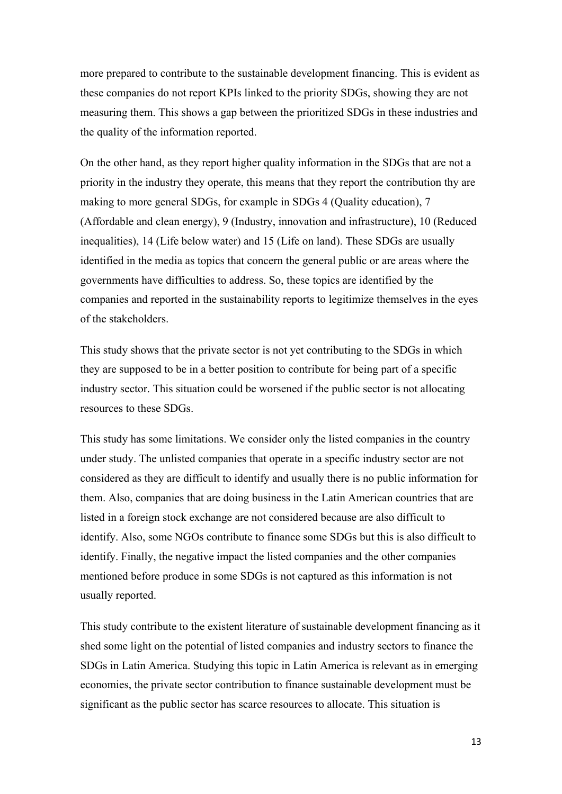more prepared to contribute to the sustainable development financing. This is evident as these companies do not report KPIs linked to the priority SDGs, showing they are not measuring them. This shows a gap between the prioritized SDGs in these industries and the quality of the information reported.

On the other hand, as they report higher quality information in the SDGs that are not a priority in the industry they operate, this means that they report the contribution thy are making to more general SDGs, for example in SDGs 4 (Quality education), 7 (Affordable and clean energy), 9 (Industry, innovation and infrastructure), 10 (Reduced inequalities), 14 (Life below water) and 15 (Life on land). These SDGs are usually identified in the media as topics that concern the general public or are areas where the governments have difficulties to address. So, these topics are identified by the companies and reported in the sustainability reports to legitimize themselves in the eyes of the stakeholders.

This study shows that the private sector is not yet contributing to the SDGs in which they are supposed to be in a better position to contribute for being part of a specific industry sector. This situation could be worsened if the public sector is not allocating resources to these SDGs.

This study has some limitations. We consider only the listed companies in the country under study. The unlisted companies that operate in a specific industry sector are not considered as they are difficult to identify and usually there is no public information for them. Also, companies that are doing business in the Latin American countries that are listed in a foreign stock exchange are not considered because are also difficult to identify. Also, some NGOs contribute to finance some SDGs but this is also difficult to identify. Finally, the negative impact the listed companies and the other companies mentioned before produce in some SDGs is not captured as this information is not usually reported.

This study contribute to the existent literature of sustainable development financing as it shed some light on the potential of listed companies and industry sectors to finance the SDGs in Latin America. Studying this topic in Latin America is relevant as in emerging economies, the private sector contribution to finance sustainable development must be significant as the public sector has scarce resources to allocate. This situation is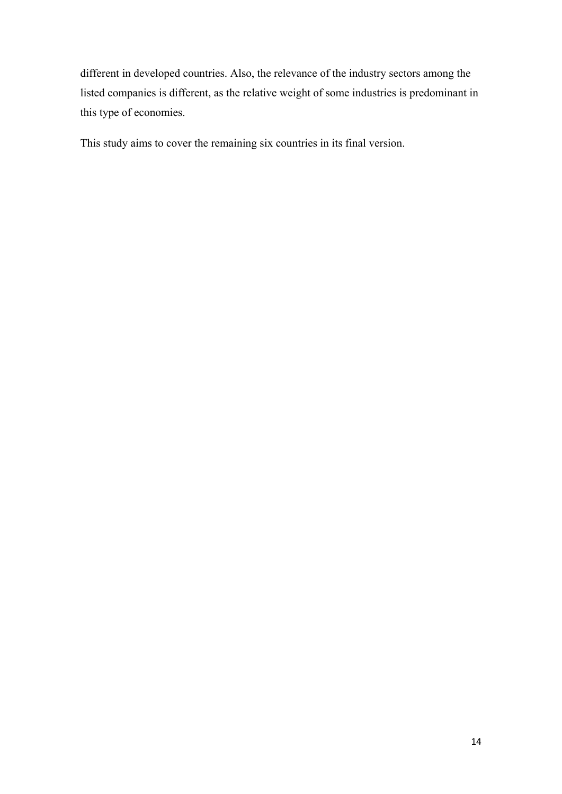different in developed countries. Also, the relevance of the industry sectors among the listed companies is different, as the relative weight of some industries is predominant in this type of economies.

This study aims to cover the remaining six countries in its final version.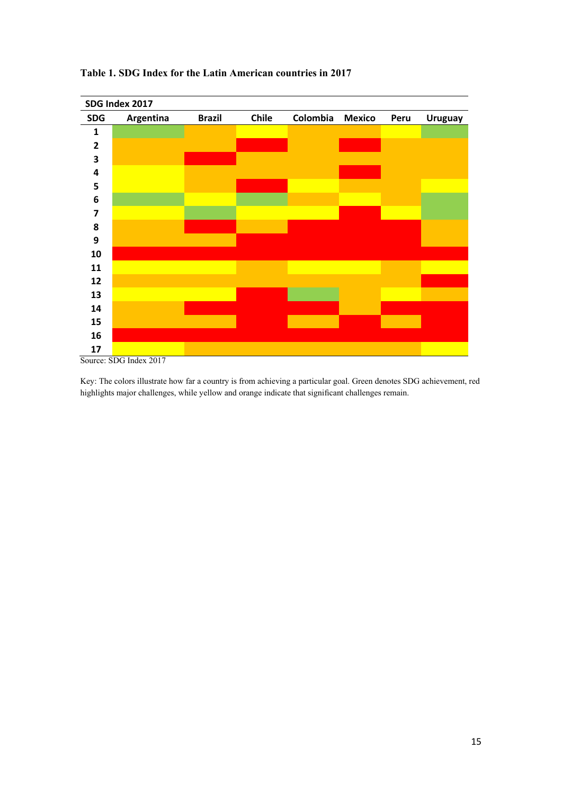

#### **Table 1. SDG Index for the Latin American countries in 2017**

Key: The colors illustrate how far a country is from achieving a particular goal. Green denotes SDG achievement, red highlights major challenges, while yellow and orange indicate that significant challenges remain.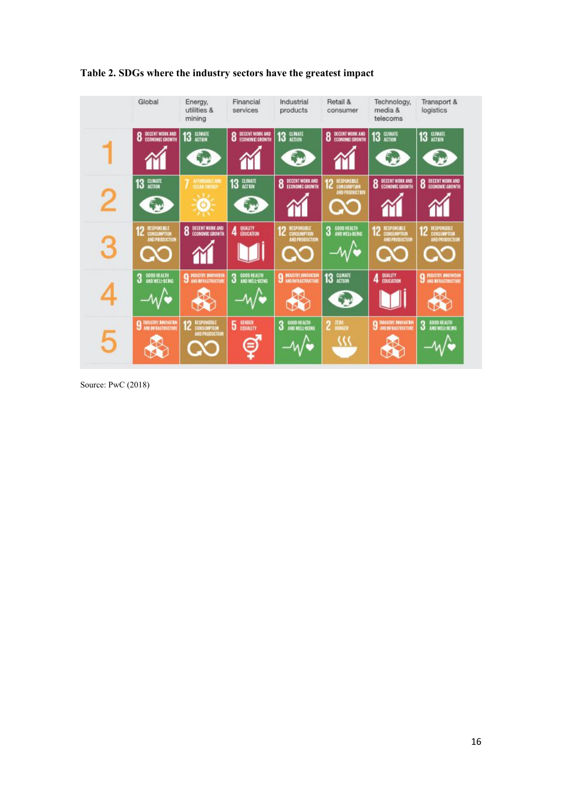

**Table 2. SDGs where the industry sectors have the greatest impact**

Source: PwC (2018)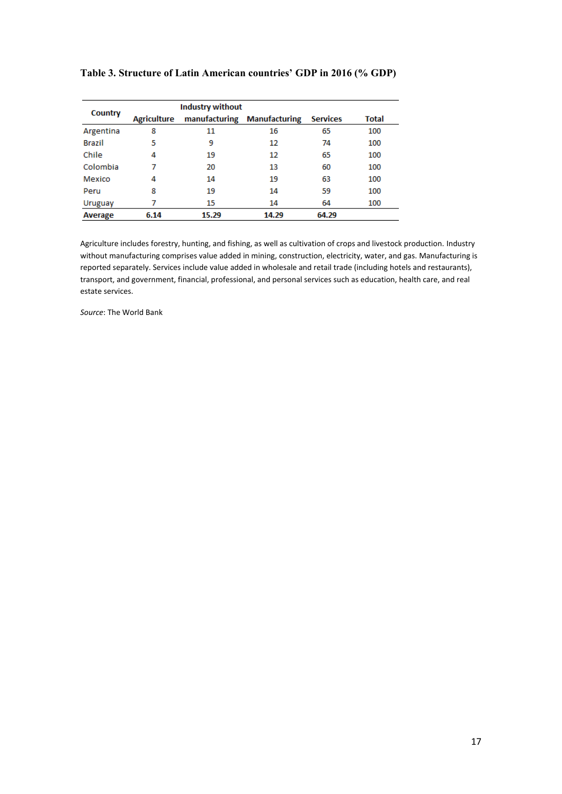|               |                    | <b>Industry without</b> |                             |                 |       |
|---------------|--------------------|-------------------------|-----------------------------|-----------------|-------|
| Country       | <b>Agriculture</b> |                         | manufacturing Manufacturing | <b>Services</b> | Total |
| Argentina     | 8                  | 11                      | 16                          | 65              | 100   |
| <b>Brazil</b> | 5                  | 9                       | 12                          | 74              | 100   |
| Chile         | 4                  | 19                      | 12                          | 65              | 100   |
| Colombia      | 7                  | 20                      | 13                          | 60              | 100   |
| Mexico        | 4                  | 14                      | 19                          | 63              | 100   |
| Peru          | 8                  | 19                      | 14                          | 59              | 100   |
| Uruguay       | 7                  | 15                      | 14                          | 64              | 100   |
| Average       | 6.14               | 15.29                   | 14.29                       | 64.29           |       |

#### **Table 3. Structure of Latin American countries' GDP in 2016 (% GDP)**

Agriculture includes forestry, hunting, and fishing, as well as cultivation of crops and livestock production. Industry without manufacturing comprises value added in mining, construction, electricity, water, and gas. Manufacturing is reported separately. Services include value added in wholesale and retail trade (including hotels and restaurants), transport, and government, financial, professional, and personal services such as education, health care, and real estate services.

*Source*: The World Bank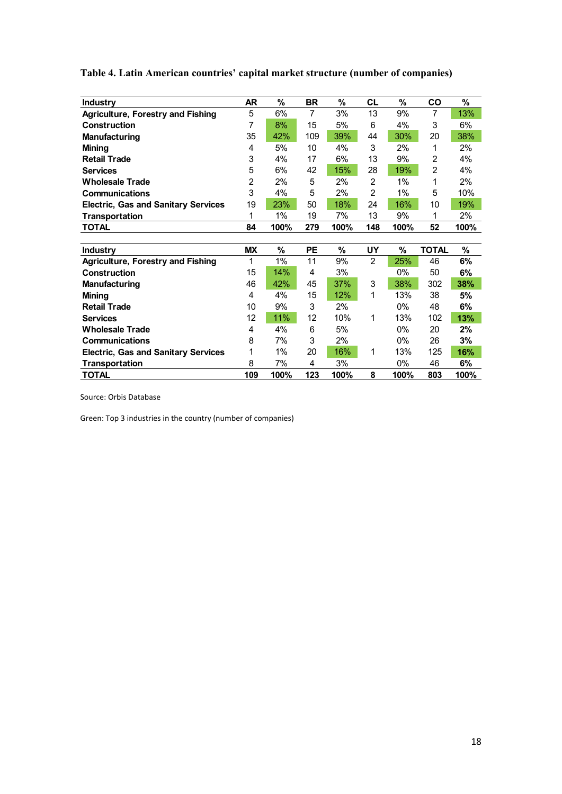| <b>Industry</b>                            | <b>AR</b>      | %    | <b>BR</b>      | $\%$ | <b>CL</b>      | %     | CO             | $\%$ |
|--------------------------------------------|----------------|------|----------------|------|----------------|-------|----------------|------|
| <b>Agriculture, Forestry and Fishing</b>   | 5              | 6%   | $\overline{7}$ | 3%   | 13             | 9%    | $\overline{7}$ | 13%  |
| <b>Construction</b>                        | 7              | 8%   | 15             | 5%   | 6              | 4%    | 3              | 6%   |
| <b>Manufacturing</b>                       | 35             | 42%  | 109            | 39%  | 44             | 30%   | 20             | 38%  |
| <b>Mining</b>                              | 4              | 5%   | 10             | 4%   | 3              | 2%    | 1              | 2%   |
| <b>Retail Trade</b>                        | 3              | 4%   | 17             | 6%   | 13             | 9%    | $\overline{2}$ | 4%   |
| <b>Services</b>                            | 5              | 6%   | 42             | 15%  | 28             | 19%   | $\overline{c}$ | 4%   |
| <b>Wholesale Trade</b>                     | $\overline{2}$ | 2%   | 5              | 2%   | 2              | $1\%$ | 1              | 2%   |
| Communications                             | 3              | 4%   | 5              | 2%   | 2              | 1%    | 5              | 10%  |
| <b>Electric, Gas and Sanitary Services</b> | 19             | 23%  | 50             | 18%  | 24             | 16%   | 10             | 19%  |
| <b>Transportation</b>                      | 1              | 1%   | 19             | 7%   | 13             | 9%    | 1              | 2%   |
| <b>TOTAL</b>                               | 84             | 100% | 279            | 100% | 148            | 100%  | 52             | 100% |
|                                            |                |      |                |      |                |       |                |      |
|                                            |                |      |                |      |                |       |                |      |
| <b>Industry</b>                            | <b>MX</b>      | %    | PЕ             | %    | UY             | %     | <b>TOTAL</b>   | %    |
| <b>Agriculture, Forestry and Fishing</b>   | 1              | 1%   | 11             | 9%   | $\overline{2}$ | 25%   | 46             | 6%   |
| <b>Construction</b>                        | 15             | 14%  | 4              | 3%   |                | 0%    | 50             | 6%   |
| <b>Manufacturing</b>                       | 46             | 42%  | 45             | 37%  | 3              | 38%   | 302            | 38%  |
| <b>Mining</b>                              | 4              | 4%   | 15             | 12%  | 1              | 13%   | 38             | 5%   |
| <b>Retail Trade</b>                        | 10             | 9%   | 3              | 2%   |                | 0%    | 48             | 6%   |
| <b>Services</b>                            | 12             | 11%  | 12             | 10%  | 1              | 13%   | 102            | 13%  |
| <b>Wholesale Trade</b>                     | 4              | 4%   | 6              | 5%   |                | 0%    | 20             | 2%   |
| <b>Communications</b>                      | 8              | 7%   | 3              | 2%   |                | 0%    | 26             | 3%   |
| <b>Electric, Gas and Sanitary Services</b> | 1              | 1%   | 20             | 16%  | 1              | 13%   | 125            | 16%  |
| <b>Transportation</b>                      | 8              | 7%   | 4              | 3%   |                | 0%    | 46             | 6%   |

**Table 4. Latin American countries' capital market structure (number of companies)**

Source: Orbis Database

Green: Top 3 industries in the country (number of companies)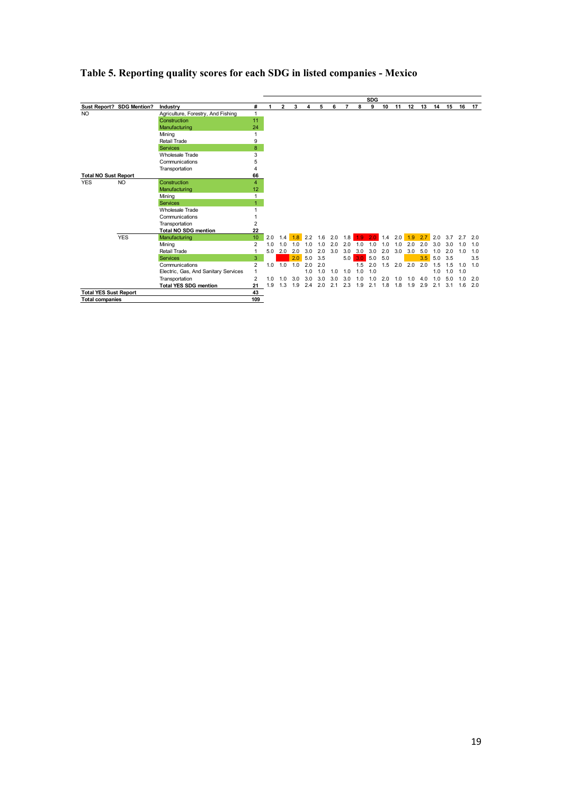

## **Table 5. Reporting quality scores for each SDG in listed companies - Mexico**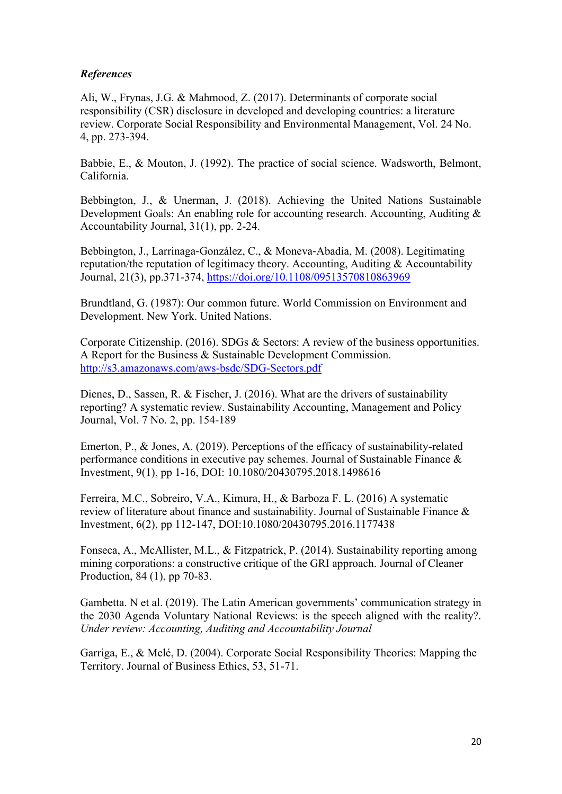## *References*

Ali, W., Frynas, J.G. & Mahmood, Z. (2017). Determinants of corporate social responsibility (CSR) disclosure in developed and developing countries: a literature review. Corporate Social Responsibility and Environmental Management, Vol. 24 No. 4, pp. 273-394.

Babbie, E., & Mouton, J. (1992). The practice of social science. Wadsworth, Belmont, California.

Bebbington, J., & Unerman, J. (2018). Achieving the United Nations Sustainable Development Goals: An enabling role for accounting research. Accounting, Auditing & Accountability Journal, 31(1), pp. 2-24.

Bebbington, J., Larrinaga-González, C., & Moneva-Abadía, M. (2008). Legitimating reputation/the reputation of legitimacy theory. Accounting, Auditing & Accountability Journal, 21(3), pp.371-374, https://doi.org/10.1108/09513570810863969

Brundtland, G. (1987): Our common future. World Commission on Environment and Development. New York. United Nations.

Corporate Citizenship. (2016). SDGs & Sectors: A review of the business opportunities. A Report for the Business & Sustainable Development Commission. http://s3.amazonaws.com/aws-bsdc/SDG-Sectors.pdf

Dienes, D., Sassen, R. & Fischer, J. (2016). What are the drivers of sustainability reporting? A systematic review. Sustainability Accounting, Management and Policy Journal, Vol. 7 No. 2, pp. 154-189

Emerton, P., & Jones, A. (2019). Perceptions of the efficacy of sustainability-related performance conditions in executive pay schemes. Journal of Sustainable Finance & Investment, 9(1), pp 1-16, DOI: 10.1080/20430795.2018.1498616

Ferreira, M.C., Sobreiro, V.A., Kimura, H., & Barboza F. L. (2016) A systematic review of literature about finance and sustainability. Journal of Sustainable Finance & Investment, 6(2), pp 112-147, DOI:10.1080/20430795.2016.1177438

Fonseca, A., McAllister, M.L., & Fitzpatrick, P. (2014). Sustainability reporting among mining corporations: a constructive critique of the GRI approach. Journal of Cleaner Production, 84 (1), pp 70-83.

Gambetta. N et al. (2019). The Latin American governments' communication strategy in the 2030 Agenda Voluntary National Reviews: is the speech aligned with the reality?. *Under review: Accounting, Auditing and Accountability Journal*

Garriga, E., & Melé, D. (2004). Corporate Social Responsibility Theories: Mapping the Territory. Journal of Business Ethics, 53, 51-71.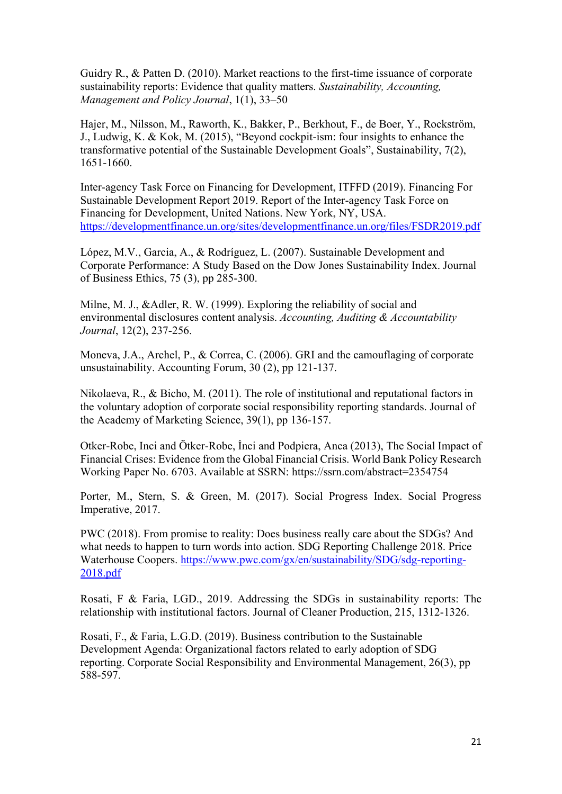Guidry R., & Patten D. (2010). Market reactions to the first-time issuance of corporate sustainability reports: Evidence that quality matters. *Sustainability, Accounting, Management and Policy Journal*, 1(1), 33–50

Hajer, M., Nilsson, M., Raworth, K., Bakker, P., Berkhout, F., de Boer, Y., Rockström, J., Ludwig, K. & Kok, M. (2015), "Beyond cockpit-ism: four insights to enhance the transformative potential of the Sustainable Development Goals", Sustainability, 7(2), 1651-1660.

Inter-agency Task Force on Financing for Development, ITFFD (2019). Financing For Sustainable Development Report 2019. Report of the Inter-agency Task Force on Financing for Development, United Nations. New York, NY, USA. https://developmentfinance.un.org/sites/developmentfinance.un.org/files/FSDR2019.pdf

López, M.V., Garcia, A., & Rodríguez, L. (2007). Sustainable Development and Corporate Performance: A Study Based on the Dow Jones Sustainability Index. Journal of Business Ethics, 75 (3), pp 285-300.

Milne, M. J., &Adler, R. W. (1999). Exploring the reliability of social and environmental disclosures content analysis. *Accounting, Auditing & Accountability Journal*, 12(2), 237-256.

Moneva, J.A., Archel, P., & Correa, C. (2006). GRI and the camouflaging of corporate unsustainability. Accounting Forum, 30 (2), pp 121-137.

Nikolaeva, R., & Bicho, M. (2011). The role of institutional and reputational factors in the voluntary adoption of corporate social responsibility reporting standards. Journal of the Academy of Marketing Science, 39(1), pp 136-157.

Otker-Robe, Inci and Ötker-Robe, İnci and Podpiera, Anca (2013), The Social Impact of Financial Crises: Evidence from the Global Financial Crisis. World Bank Policy Research Working Paper No. 6703. Available at SSRN: https://ssrn.com/abstract=2354754

Porter, M., Stern, S. & Green, M. (2017). Social Progress Index. Social Progress Imperative, 2017.

PWC (2018). From promise to reality: Does business really care about the SDGs? And what needs to happen to turn words into action. SDG Reporting Challenge 2018. Price Waterhouse Coopers. https://www.pwc.com/gx/en/sustainability/SDG/sdg-reporting-2018.pdf

Rosati, F & Faria, LGD., 2019. Addressing the SDGs in sustainability reports: The relationship with institutional factors. Journal of Cleaner Production, 215, 1312-1326.

Rosati, F., & Faria, L.G.D. (2019). Business contribution to the Sustainable Development Agenda: Organizational factors related to early adoption of SDG reporting. Corporate Social Responsibility and Environmental Management, 26(3), pp 588-597.